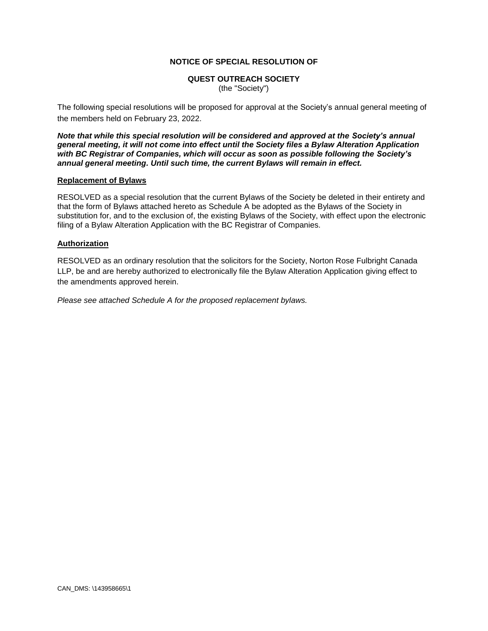#### **NOTICE OF SPECIAL RESOLUTION OF**

#### **QUEST OUTREACH SOCIETY**

(the "Society")

The following special resolutions will be proposed for approval at the Society's annual general meeting of the members held on February 23, 2022.

*Note that while this special resolution will be considered and approved at the Society's annual general meeting, it will not come into effect until the Society files a Bylaw Alteration Application with BC Registrar of Companies, which will occur as soon as possible following the Society's annual general meeting. Until such time, the current Bylaws will remain in effect.*

#### **Replacement of Bylaws**

RESOLVED as a special resolution that the current Bylaws of the Society be deleted in their entirety and that the form of Bylaws attached hereto as Schedule A be adopted as the Bylaws of the Society in substitution for, and to the exclusion of, the existing Bylaws of the Society, with effect upon the electronic filing of a Bylaw Alteration Application with the BC Registrar of Companies.

#### **Authorization**

RESOLVED as an ordinary resolution that the solicitors for the Society, Norton Rose Fulbright Canada LLP, be and are hereby authorized to electronically file the Bylaw Alteration Application giving effect to the amendments approved herein.

*Please see attached Schedule A for the proposed replacement bylaws.*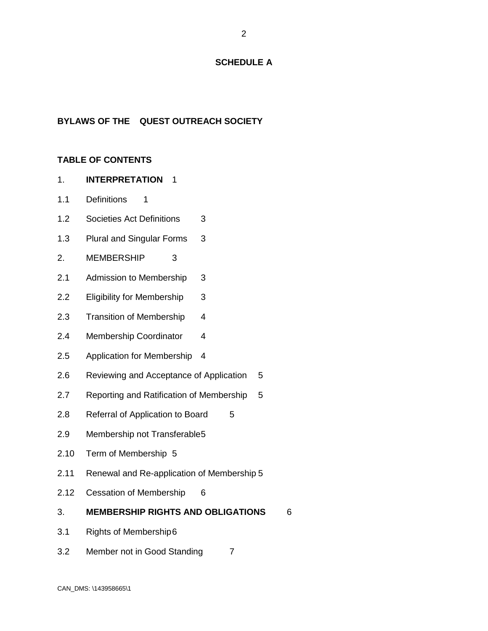#### **SCHEDULE A**

# **BYLAWS OF THE QUEST OUTREACH SOCIETY**

### **TABLE OF CONTENTS**

- 1. **INTERPRETATION** 1
- 1.1 Definitions 1
- 1.2 Societies Act Definitions 3
- 1.3 Plural and Singular Forms 3
- 2. MEMBERSHIP 3
- 2.1 Admission to Membership 3
- 2.2 Eligibility for Membership 3
- 2.3 Transition of Membership 4
- 2.4 Membership Coordinator 4
- 2.5 Application for Membership 4
- 2.6 Reviewing and Acceptance of Application 5
- 2.7 Reporting and Ratification of Membership 5
- 2.8 Referral of Application to Board 5
- 2.9 Membership not Transferable5
- 2.10 Term of Membership 5
- 2.11 Renewal and Re-application of Membership 5
- 2.12 Cessation of Membership 6
- 3. **MEMBERSHIP RIGHTS AND OBLIGATIONS** 6
- 3.1 Rights of Membership6
- 3.2 Member not in Good Standing 7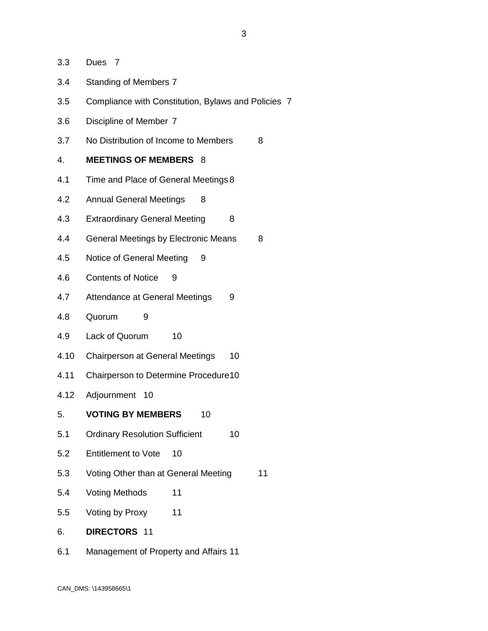- 3.3 Dues 7
- 3.4 Standing of Members 7
- 3.5 Compliance with Constitution, Bylaws and Policies 7
- 3.6 Discipline of Member 7
- 3.7 No Distribution of Income to Members 8

#### 4. **MEETINGS OF MEMBERS** 8

- 4.1 Time and Place of General Meetings 8
- 4.2 Annual General Meetings 8
- 4.3 Extraordinary General Meeting 8
- 4.4 General Meetings by Electronic Means 8
- 4.5 Notice of General Meeting 9
- 4.6 Contents of Notice 9
- 4.7 Attendance at General Meetings 9
- 4.8 Quorum 9
- 4.9 Lack of Quorum 10
- 4.10 Chairperson at General Meetings 10
- 4.11 Chairperson to Determine Procedure10
- 4.12 Adjournment 10
- 5. **VOTING BY MEMBERS** 10
- 5.1 Ordinary Resolution Sufficient 10
- 5.2 Entitlement to Vote 10
- 5.3 Voting Other than at General Meeting 11
- 5.4 Voting Methods 11
- 5.5 Voting by Proxy 11
- 6. **DIRECTORS** 11
- 6.1 Management of Property and Affairs 11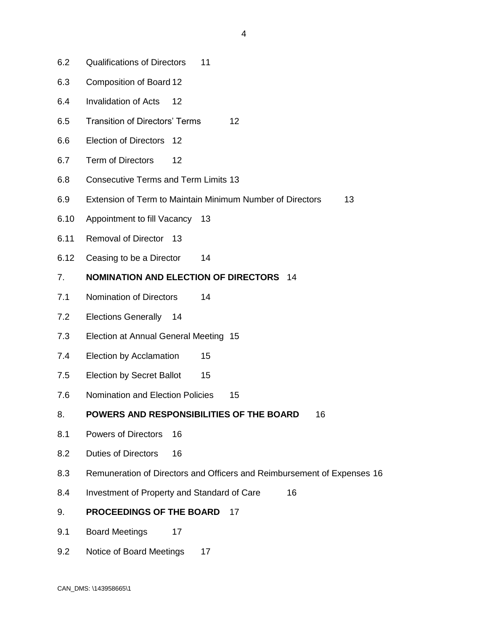- 6.2 Qualifications of Directors 11
- 6.3 Composition of Board 12
- 6.4 Invalidation of Acts 12
- 6.5 Transition of Directors' Terms 12
- 6.6 Election of Directors 12
- 6.7 Term of Directors 12
- 6.8 Consecutive Terms and Term Limits 13
- 6.9 Extension of Term to Maintain Minimum Number of Directors 13
- 6.10 Appointment to fill Vacancy 13
- 6.11 Removal of Director 13
- 6.12 Ceasing to be a Director 14

# 7. **NOMINATION AND ELECTION OF DIRECTORS** 14

- 7.1 Nomination of Directors 14
- 7.2 Elections Generally 14
- 7.3 Election at Annual General Meeting 15
- 7.4 Election by Acclamation 15
- 7.5 Election by Secret Ballot 15
- 7.6 Nomination and Election Policies 15

#### 8. **POWERS AND RESPONSIBILITIES OF THE BOARD** 16

- 8.1 Powers of Directors 16
- 8.2 Duties of Directors 16
- 8.3 Remuneration of Directors and Officers and Reimbursement of Expenses 16
- 8.4 Investment of Property and Standard of Care 16

#### 9. **PROCEEDINGS OF THE BOARD** 17

- 9.1 Board Meetings 17
- 9.2 Notice of Board Meetings 17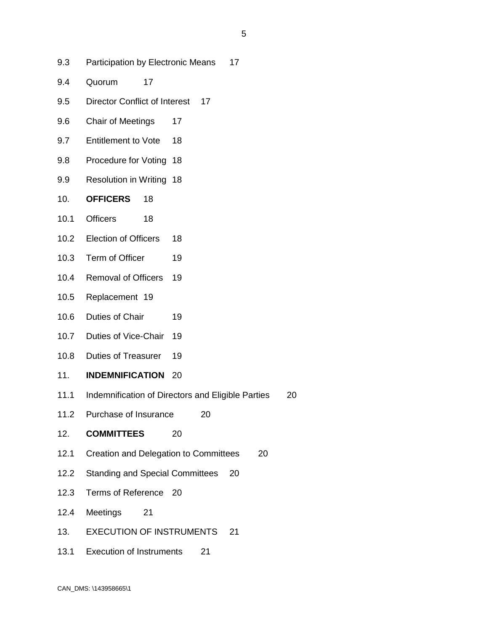- 9.3 Participation by Electronic Means 17
- 9.4 Quorum 17
- 9.5 Director Conflict of Interest 17
- 9.6 Chair of Meetings 17
- 9.7 Entitlement to Vote 18
- 9.8 Procedure for Voting 18
- 9.9 Resolution in Writing 18
- 10. **OFFICERS** 18
- 10.1 Officers 18
- 10.2 Election of Officers 18
- 10.3 Term of Officer 19
- 10.4 Removal of Officers 19
- 10.5 Replacement 19
- 10.6 Duties of Chair 19
- 10.7 Duties of Vice-Chair 19
- 10.8 Duties of Treasurer 19
- 11. **INDEMNIFICATION** 20
- 11.1 Indemnification of Directors and Eligible Parties 20
- 11.2 Purchase of Insurance 20
- 12. **COMMITTEES** 20
- 12.1 Creation and Delegation to Committees 20
- 12.2 Standing and Special Committees 20
- 12.3 Terms of Reference 20
- 12.4 Meetings 21
- 13. EXECUTION OF INSTRUMENTS 21
- 13.1 Execution of Instruments 21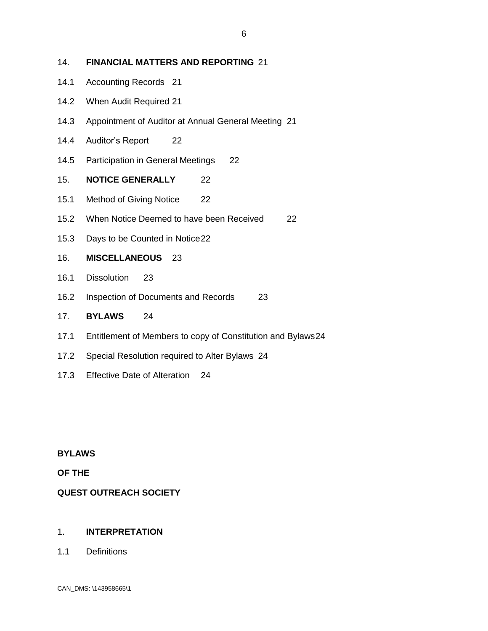### 14. **FINANCIAL MATTERS AND REPORTING** 21

- 14.1 Accounting Records 21
- 14.2 When Audit Required 21
- 14.3 Appointment of Auditor at Annual General Meeting 21
- 14.4 Auditor's Report 22
- 14.5 Participation in General Meetings 22
- 15. **NOTICE GENERALLY** 22
- 15.1 Method of Giving Notice 22
- 15.2 When Notice Deemed to have been Received 22
- 15.3 Days to be Counted in Notice22
- 16. **MISCELLANEOUS** 23
- 16.1 Dissolution 23
- 16.2 Inspection of Documents and Records 23
- 17. **BYLAWS** 24
- 17.1 Entitlement of Members to copy of Constitution and Bylaws24
- 17.2 Special Resolution required to Alter Bylaws 24
- 17.3 Effective Date of Alteration 24

**BYLAWS**

**OF THE**

### **QUEST OUTREACH SOCIETY**

### 1. **INTERPRETATION**

1.1 Definitions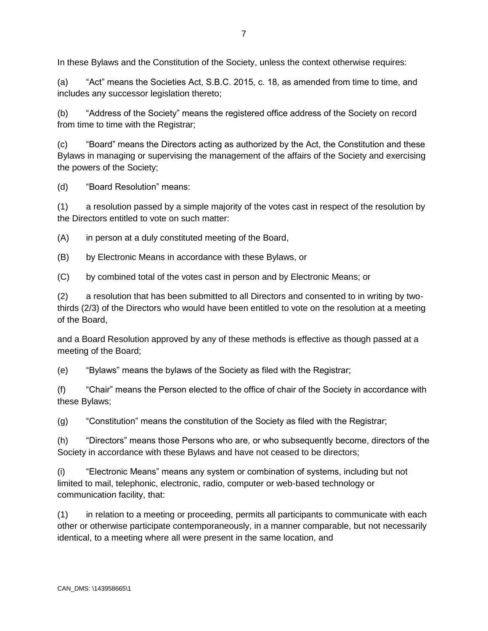In these Bylaws and the Constitution of the Society, unless the context otherwise requires:

(a) "Act" means the Societies Act, S.B.C. 2015, c. 18, as amended from time to time, and includes any successor legislation thereto;

(b) "Address of the Society" means the registered office address of the Society on record from time to time with the Registrar;

(c) "Board" means the Directors acting as authorized by the Act, the Constitution and these Bylaws in managing or supervising the management of the affairs of the Society and exercising the powers of the Society;

(d) "Board Resolution" means:

(1) a resolution passed by a simple majority of the votes cast in respect of the resolution by the Directors entitled to vote on such matter:

(A) in person at a duly constituted meeting of the Board,

(B) by Electronic Means in accordance with these Bylaws, or

(C) by combined total of the votes cast in person and by Electronic Means; or

(2) a resolution that has been submitted to all Directors and consented to in writing by twothirds (2/3) of the Directors who would have been entitled to vote on the resolution at a meeting of the Board,

and a Board Resolution approved by any of these methods is effective as though passed at a meeting of the Board;

(e) "Bylaws" means the bylaws of the Society as filed with the Registrar;

(f) "Chair" means the Person elected to the office of chair of the Society in accordance with these Bylaws;

(g) "Constitution" means the constitution of the Society as filed with the Registrar;

(h) "Directors" means those Persons who are, or who subsequently become, directors of the Society in accordance with these Bylaws and have not ceased to be directors;

(i) "Electronic Means" means any system or combination of systems, including but not limited to mail, telephonic, electronic, radio, computer or web-based technology or communication facility, that:

(1) in relation to a meeting or proceeding, permits all participants to communicate with each other or otherwise participate contemporaneously, in a manner comparable, but not necessarily identical, to a meeting where all were present in the same location, and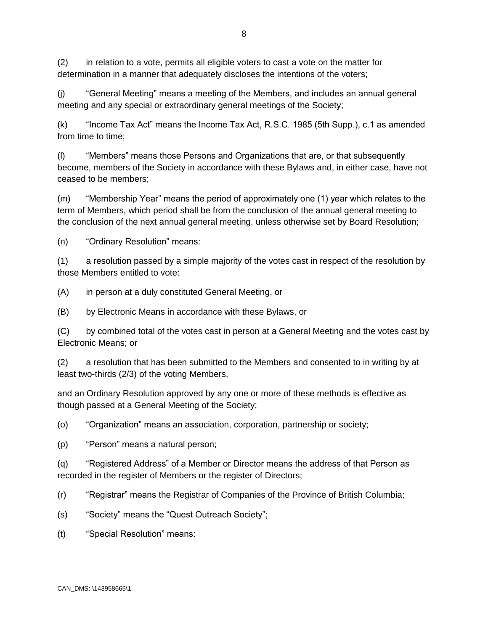(2) in relation to a vote, permits all eligible voters to cast a vote on the matter for determination in a manner that adequately discloses the intentions of the voters;

(j) "General Meeting" means a meeting of the Members, and includes an annual general meeting and any special or extraordinary general meetings of the Society;

(k) "Income Tax Act" means the Income Tax Act, R.S.C. 1985 (5th Supp.), c.1 as amended from time to time:

(l) "Members" means those Persons and Organizations that are, or that subsequently become, members of the Society in accordance with these Bylaws and, in either case, have not ceased to be members;

(m) "Membership Year" means the period of approximately one (1) year which relates to the term of Members, which period shall be from the conclusion of the annual general meeting to the conclusion of the next annual general meeting, unless otherwise set by Board Resolution;

(n) "Ordinary Resolution" means:

(1) a resolution passed by a simple majority of the votes cast in respect of the resolution by those Members entitled to vote:

(A) in person at a duly constituted General Meeting, or

(B) by Electronic Means in accordance with these Bylaws, or

(C) by combined total of the votes cast in person at a General Meeting and the votes cast by Electronic Means; or

(2) a resolution that has been submitted to the Members and consented to in writing by at least two-thirds (2/3) of the voting Members,

and an Ordinary Resolution approved by any one or more of these methods is effective as though passed at a General Meeting of the Society;

(o) "Organization" means an association, corporation, partnership or society;

(p) "Person" means a natural person;

(q) "Registered Address" of a Member or Director means the address of that Person as recorded in the register of Members or the register of Directors;

(r) "Registrar" means the Registrar of Companies of the Province of British Columbia;

(s) "Society" means the "Quest Outreach Society";

(t) "Special Resolution" means: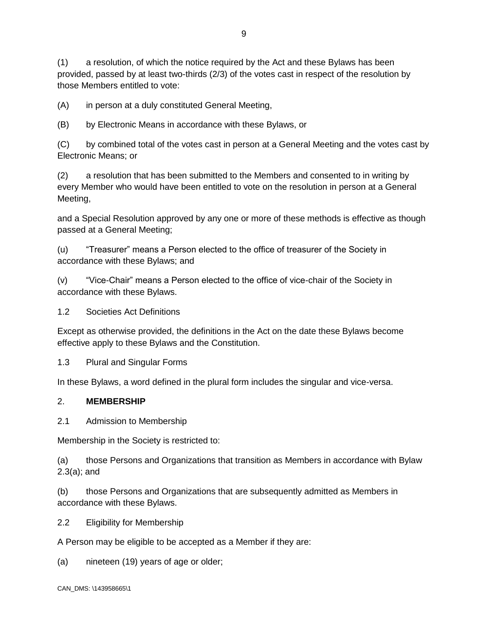(1) a resolution, of which the notice required by the Act and these Bylaws has been provided, passed by at least two-thirds (2/3) of the votes cast in respect of the resolution by those Members entitled to vote:

(A) in person at a duly constituted General Meeting,

(B) by Electronic Means in accordance with these Bylaws, or

(C) by combined total of the votes cast in person at a General Meeting and the votes cast by Electronic Means; or

(2) a resolution that has been submitted to the Members and consented to in writing by every Member who would have been entitled to vote on the resolution in person at a General Meeting,

and a Special Resolution approved by any one or more of these methods is effective as though passed at a General Meeting;

(u) "Treasurer" means a Person elected to the office of treasurer of the Society in accordance with these Bylaws; and

(v) "Vice-Chair" means a Person elected to the office of vice-chair of the Society in accordance with these Bylaws.

1.2 Societies Act Definitions

Except as otherwise provided, the definitions in the Act on the date these Bylaws become effective apply to these Bylaws and the Constitution.

1.3 Plural and Singular Forms

In these Bylaws, a word defined in the plural form includes the singular and vice-versa.

#### 2. **MEMBERSHIP**

2.1 Admission to Membership

Membership in the Society is restricted to:

(a) those Persons and Organizations that transition as Members in accordance with Bylaw 2.3(a); and

(b) those Persons and Organizations that are subsequently admitted as Members in accordance with these Bylaws.

2.2 Eligibility for Membership

A Person may be eligible to be accepted as a Member if they are:

(a) nineteen (19) years of age or older;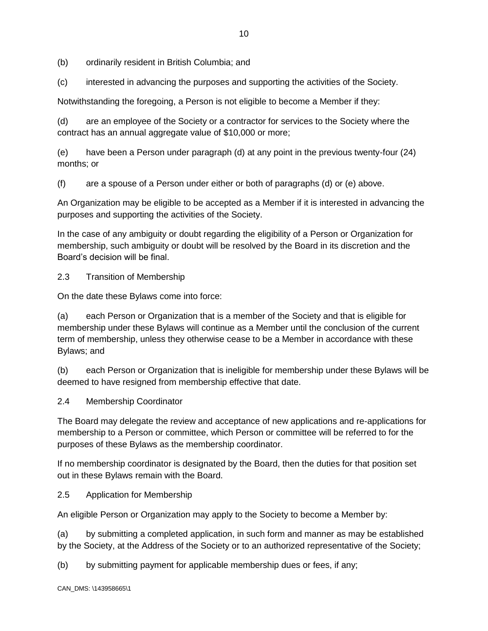- (b) ordinarily resident in British Columbia; and
- (c) interested in advancing the purposes and supporting the activities of the Society.

Notwithstanding the foregoing, a Person is not eligible to become a Member if they:

(d) are an employee of the Society or a contractor for services to the Society where the contract has an annual aggregate value of \$10,000 or more;

(e) have been a Person under paragraph (d) at any point in the previous twenty-four (24) months; or

(f) are a spouse of a Person under either or both of paragraphs (d) or (e) above.

An Organization may be eligible to be accepted as a Member if it is interested in advancing the purposes and supporting the activities of the Society.

In the case of any ambiguity or doubt regarding the eligibility of a Person or Organization for membership, such ambiguity or doubt will be resolved by the Board in its discretion and the Board's decision will be final.

2.3 Transition of Membership

On the date these Bylaws come into force:

(a) each Person or Organization that is a member of the Society and that is eligible for membership under these Bylaws will continue as a Member until the conclusion of the current term of membership, unless they otherwise cease to be a Member in accordance with these Bylaws; and

(b) each Person or Organization that is ineligible for membership under these Bylaws will be deemed to have resigned from membership effective that date.

### 2.4 Membership Coordinator

The Board may delegate the review and acceptance of new applications and re-applications for membership to a Person or committee, which Person or committee will be referred to for the purposes of these Bylaws as the membership coordinator.

If no membership coordinator is designated by the Board, then the duties for that position set out in these Bylaws remain with the Board.

### 2.5 Application for Membership

An eligible Person or Organization may apply to the Society to become a Member by:

(a) by submitting a completed application, in such form and manner as may be established by the Society, at the Address of the Society or to an authorized representative of the Society;

(b) by submitting payment for applicable membership dues or fees, if any;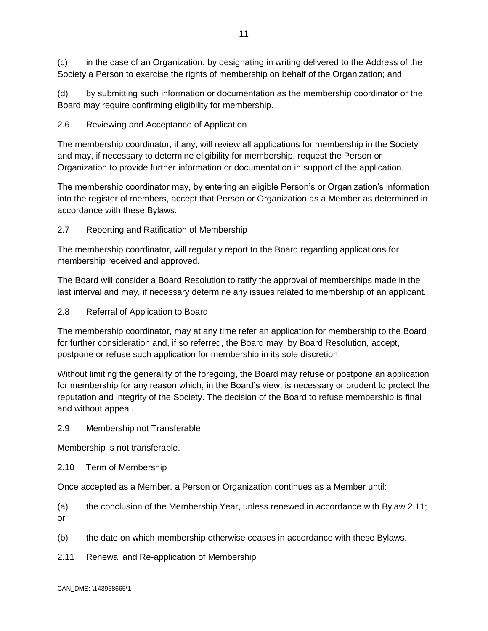(c) in the case of an Organization, by designating in writing delivered to the Address of the Society a Person to exercise the rights of membership on behalf of the Organization; and

(d) by submitting such information or documentation as the membership coordinator or the Board may require confirming eligibility for membership.

# 2.6 Reviewing and Acceptance of Application

The membership coordinator, if any, will review all applications for membership in the Society and may, if necessary to determine eligibility for membership, request the Person or Organization to provide further information or documentation in support of the application.

The membership coordinator may, by entering an eligible Person's or Organization's information into the register of members, accept that Person or Organization as a Member as determined in accordance with these Bylaws.

# 2.7 Reporting and Ratification of Membership

The membership coordinator, will regularly report to the Board regarding applications for membership received and approved.

The Board will consider a Board Resolution to ratify the approval of memberships made in the last interval and may, if necessary determine any issues related to membership of an applicant.

# 2.8 Referral of Application to Board

The membership coordinator, may at any time refer an application for membership to the Board for further consideration and, if so referred, the Board may, by Board Resolution, accept, postpone or refuse such application for membership in its sole discretion.

Without limiting the generality of the foregoing, the Board may refuse or postpone an application for membership for any reason which, in the Board's view, is necessary or prudent to protect the reputation and integrity of the Society. The decision of the Board to refuse membership is final and without appeal.

### 2.9 Membership not Transferable

Membership is not transferable.

2.10 Term of Membership

Once accepted as a Member, a Person or Organization continues as a Member until:

(a) the conclusion of the Membership Year, unless renewed in accordance with Bylaw 2.11; or

- (b) the date on which membership otherwise ceases in accordance with these Bylaws.
- 2.11 Renewal and Re-application of Membership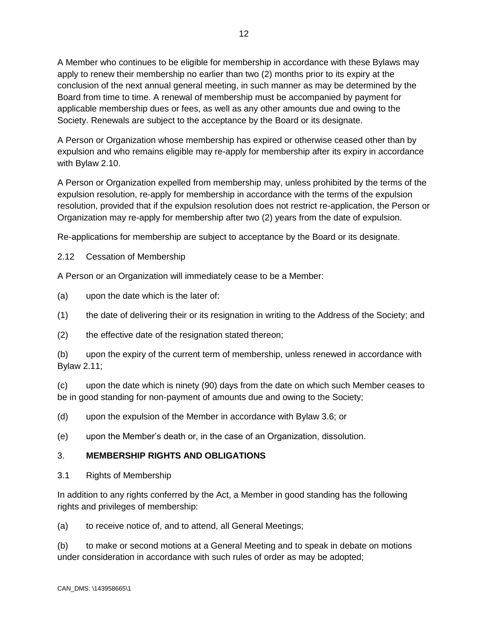A Member who continues to be eligible for membership in accordance with these Bylaws may apply to renew their membership no earlier than two (2) months prior to its expiry at the conclusion of the next annual general meeting, in such manner as may be determined by the Board from time to time. A renewal of membership must be accompanied by payment for applicable membership dues or fees, as well as any other amounts due and owing to the Society. Renewals are subject to the acceptance by the Board or its designate.

A Person or Organization whose membership has expired or otherwise ceased other than by expulsion and who remains eligible may re-apply for membership after its expiry in accordance with Bylaw 2.10.

A Person or Organization expelled from membership may, unless prohibited by the terms of the expulsion resolution, re-apply for membership in accordance with the terms of the expulsion resolution, provided that if the expulsion resolution does not restrict re-application, the Person or Organization may re-apply for membership after two (2) years from the date of expulsion.

Re-applications for membership are subject to acceptance by the Board or its designate.

2.12 Cessation of Membership

A Person or an Organization will immediately cease to be a Member:

(a) upon the date which is the later of:

(1) the date of delivering their or its resignation in writing to the Address of the Society; and

(2) the effective date of the resignation stated thereon;

(b) upon the expiry of the current term of membership, unless renewed in accordance with Bylaw 2.11;

(c) upon the date which is ninety (90) days from the date on which such Member ceases to be in good standing for non-payment of amounts due and owing to the Society;

(d) upon the expulsion of the Member in accordance with Bylaw 3.6; or

(e) upon the Member's death or, in the case of an Organization, dissolution.

# 3. **MEMBERSHIP RIGHTS AND OBLIGATIONS**

3.1 Rights of Membership

In addition to any rights conferred by the Act, a Member in good standing has the following rights and privileges of membership:

(a) to receive notice of, and to attend, all General Meetings;

(b) to make or second motions at a General Meeting and to speak in debate on motions under consideration in accordance with such rules of order as may be adopted;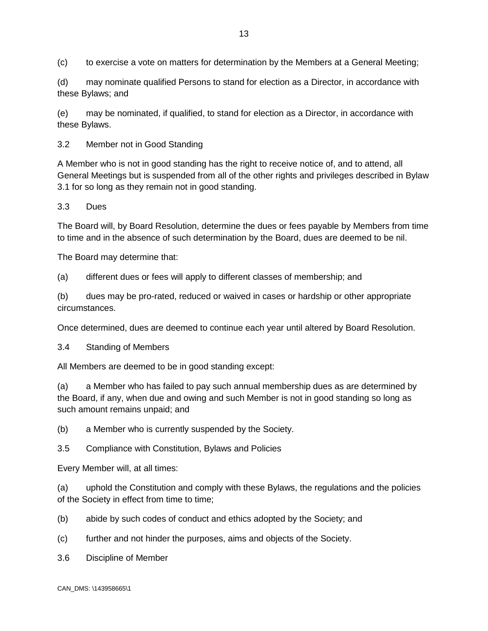(c) to exercise a vote on matters for determination by the Members at a General Meeting;

(d) may nominate qualified Persons to stand for election as a Director, in accordance with these Bylaws; and

(e) may be nominated, if qualified, to stand for election as a Director, in accordance with these Bylaws.

3.2 Member not in Good Standing

A Member who is not in good standing has the right to receive notice of, and to attend, all General Meetings but is suspended from all of the other rights and privileges described in Bylaw 3.1 for so long as they remain not in good standing.

3.3 Dues

The Board will, by Board Resolution, determine the dues or fees payable by Members from time to time and in the absence of such determination by the Board, dues are deemed to be nil.

The Board may determine that:

(a) different dues or fees will apply to different classes of membership; and

(b) dues may be pro-rated, reduced or waived in cases or hardship or other appropriate circumstances.

Once determined, dues are deemed to continue each year until altered by Board Resolution.

3.4 Standing of Members

All Members are deemed to be in good standing except:

(a) a Member who has failed to pay such annual membership dues as are determined by the Board, if any, when due and owing and such Member is not in good standing so long as such amount remains unpaid; and

(b) a Member who is currently suspended by the Society.

3.5 Compliance with Constitution, Bylaws and Policies

Every Member will, at all times:

(a) uphold the Constitution and comply with these Bylaws, the regulations and the policies of the Society in effect from time to time;

(b) abide by such codes of conduct and ethics adopted by the Society; and

- (c) further and not hinder the purposes, aims and objects of the Society.
- 3.6 Discipline of Member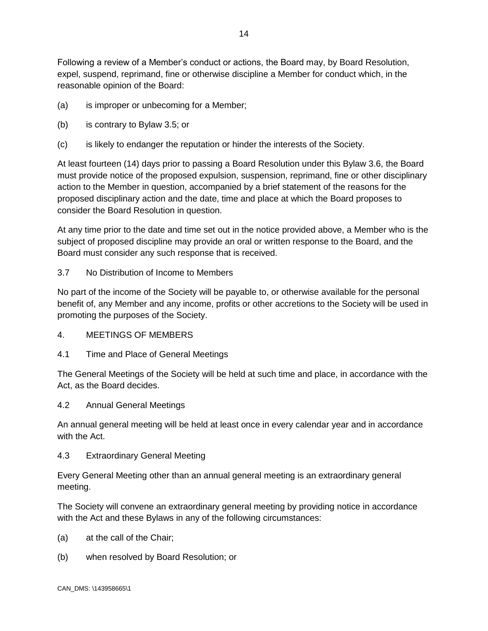Following a review of a Member's conduct or actions, the Board may, by Board Resolution, expel, suspend, reprimand, fine or otherwise discipline a Member for conduct which, in the reasonable opinion of the Board:

- (a) is improper or unbecoming for a Member;
- (b) is contrary to Bylaw 3.5; or
- (c) is likely to endanger the reputation or hinder the interests of the Society.

At least fourteen (14) days prior to passing a Board Resolution under this Bylaw 3.6, the Board must provide notice of the proposed expulsion, suspension, reprimand, fine or other disciplinary action to the Member in question, accompanied by a brief statement of the reasons for the proposed disciplinary action and the date, time and place at which the Board proposes to consider the Board Resolution in question.

At any time prior to the date and time set out in the notice provided above, a Member who is the subject of proposed discipline may provide an oral or written response to the Board, and the Board must consider any such response that is received.

3.7 No Distribution of Income to Members

No part of the income of the Society will be payable to, or otherwise available for the personal benefit of, any Member and any income, profits or other accretions to the Society will be used in promoting the purposes of the Society.

- 4. MEETINGS OF MEMBERS
- 4.1 Time and Place of General Meetings

The General Meetings of the Society will be held at such time and place, in accordance with the Act, as the Board decides.

4.2 Annual General Meetings

An annual general meeting will be held at least once in every calendar year and in accordance with the Act.

4.3 Extraordinary General Meeting

Every General Meeting other than an annual general meeting is an extraordinary general meeting.

The Society will convene an extraordinary general meeting by providing notice in accordance with the Act and these Bylaws in any of the following circumstances:

- (a) at the call of the Chair;
- (b) when resolved by Board Resolution; or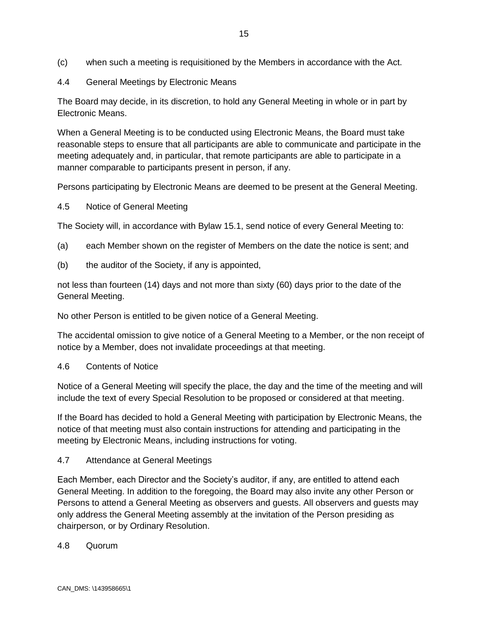- (c) when such a meeting is requisitioned by the Members in accordance with the Act.
- 4.4 General Meetings by Electronic Means

The Board may decide, in its discretion, to hold any General Meeting in whole or in part by Electronic Means.

When a General Meeting is to be conducted using Electronic Means, the Board must take reasonable steps to ensure that all participants are able to communicate and participate in the meeting adequately and, in particular, that remote participants are able to participate in a manner comparable to participants present in person, if any.

Persons participating by Electronic Means are deemed to be present at the General Meeting.

### 4.5 Notice of General Meeting

The Society will, in accordance with Bylaw 15.1, send notice of every General Meeting to:

- (a) each Member shown on the register of Members on the date the notice is sent; and
- (b) the auditor of the Society, if any is appointed,

not less than fourteen (14) days and not more than sixty (60) days prior to the date of the General Meeting.

No other Person is entitled to be given notice of a General Meeting.

The accidental omission to give notice of a General Meeting to a Member, or the non receipt of notice by a Member, does not invalidate proceedings at that meeting.

4.6 Contents of Notice

Notice of a General Meeting will specify the place, the day and the time of the meeting and will include the text of every Special Resolution to be proposed or considered at that meeting.

If the Board has decided to hold a General Meeting with participation by Electronic Means, the notice of that meeting must also contain instructions for attending and participating in the meeting by Electronic Means, including instructions for voting.

4.7 Attendance at General Meetings

Each Member, each Director and the Society's auditor, if any, are entitled to attend each General Meeting. In addition to the foregoing, the Board may also invite any other Person or Persons to attend a General Meeting as observers and guests. All observers and guests may only address the General Meeting assembly at the invitation of the Person presiding as chairperson, or by Ordinary Resolution.

4.8 Quorum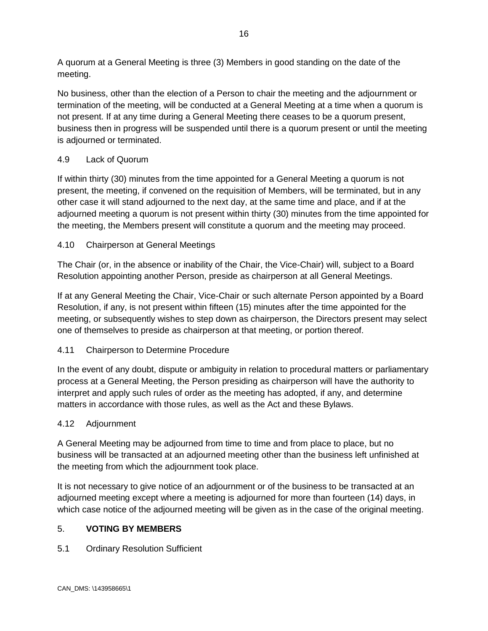A quorum at a General Meeting is three (3) Members in good standing on the date of the meeting.

No business, other than the election of a Person to chair the meeting and the adjournment or termination of the meeting, will be conducted at a General Meeting at a time when a quorum is not present. If at any time during a General Meeting there ceases to be a quorum present, business then in progress will be suspended until there is a quorum present or until the meeting is adjourned or terminated.

# 4.9 Lack of Quorum

If within thirty (30) minutes from the time appointed for a General Meeting a quorum is not present, the meeting, if convened on the requisition of Members, will be terminated, but in any other case it will stand adjourned to the next day, at the same time and place, and if at the adjourned meeting a quorum is not present within thirty (30) minutes from the time appointed for the meeting, the Members present will constitute a quorum and the meeting may proceed.

# 4.10 Chairperson at General Meetings

The Chair (or, in the absence or inability of the Chair, the Vice-Chair) will, subject to a Board Resolution appointing another Person, preside as chairperson at all General Meetings.

If at any General Meeting the Chair, Vice-Chair or such alternate Person appointed by a Board Resolution, if any, is not present within fifteen (15) minutes after the time appointed for the meeting, or subsequently wishes to step down as chairperson, the Directors present may select one of themselves to preside as chairperson at that meeting, or portion thereof.

# 4.11 Chairperson to Determine Procedure

In the event of any doubt, dispute or ambiguity in relation to procedural matters or parliamentary process at a General Meeting, the Person presiding as chairperson will have the authority to interpret and apply such rules of order as the meeting has adopted, if any, and determine matters in accordance with those rules, as well as the Act and these Bylaws.

# 4.12 Adjournment

A General Meeting may be adjourned from time to time and from place to place, but no business will be transacted at an adjourned meeting other than the business left unfinished at the meeting from which the adjournment took place.

It is not necessary to give notice of an adjournment or of the business to be transacted at an adjourned meeting except where a meeting is adjourned for more than fourteen (14) days, in which case notice of the adjourned meeting will be given as in the case of the original meeting.

# 5. **VOTING BY MEMBERS**

5.1 Ordinary Resolution Sufficient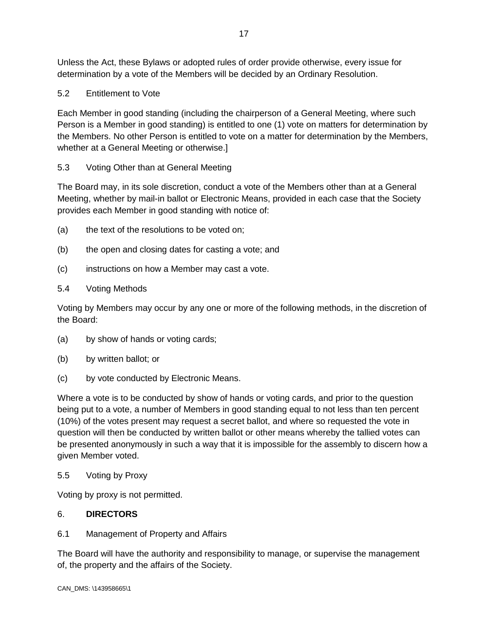Unless the Act, these Bylaws or adopted rules of order provide otherwise, every issue for determination by a vote of the Members will be decided by an Ordinary Resolution.

5.2 Entitlement to Vote

Each Member in good standing (including the chairperson of a General Meeting, where such Person is a Member in good standing) is entitled to one (1) vote on matters for determination by the Members. No other Person is entitled to vote on a matter for determination by the Members, whether at a General Meeting or otherwise.]

# 5.3 Voting Other than at General Meeting

The Board may, in its sole discretion, conduct a vote of the Members other than at a General Meeting, whether by mail-in ballot or Electronic Means, provided in each case that the Society provides each Member in good standing with notice of:

- (a) the text of the resolutions to be voted on;
- (b) the open and closing dates for casting a vote; and
- (c) instructions on how a Member may cast a vote.

### 5.4 Voting Methods

Voting by Members may occur by any one or more of the following methods, in the discretion of the Board:

- (a) by show of hands or voting cards;
- (b) by written ballot; or
- (c) by vote conducted by Electronic Means.

Where a vote is to be conducted by show of hands or voting cards, and prior to the question being put to a vote, a number of Members in good standing equal to not less than ten percent (10%) of the votes present may request a secret ballot, and where so requested the vote in question will then be conducted by written ballot or other means whereby the tallied votes can be presented anonymously in such a way that it is impossible for the assembly to discern how a given Member voted.

5.5 Voting by Proxy

Voting by proxy is not permitted.

### 6. **DIRECTORS**

6.1 Management of Property and Affairs

The Board will have the authority and responsibility to manage, or supervise the management of, the property and the affairs of the Society.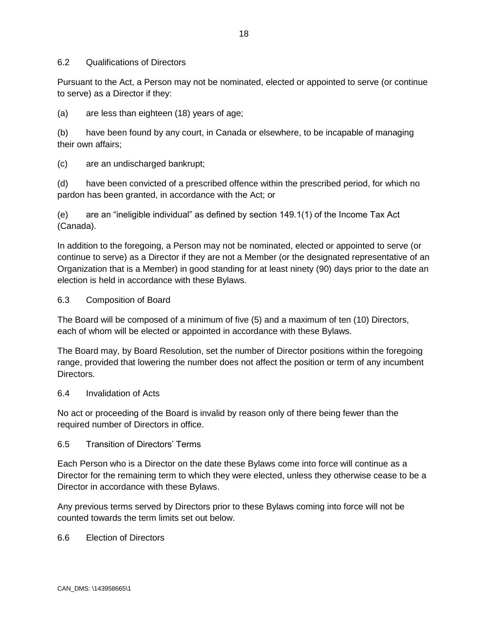#### 6.2 Qualifications of Directors

Pursuant to the Act, a Person may not be nominated, elected or appointed to serve (or continue to serve) as a Director if they:

(a) are less than eighteen (18) years of age;

(b) have been found by any court, in Canada or elsewhere, to be incapable of managing their own affairs;

(c) are an undischarged bankrupt;

(d) have been convicted of a prescribed offence within the prescribed period, for which no pardon has been granted, in accordance with the Act; or

(e) are an "ineligible individual" as defined by section 149.1(1) of the Income Tax Act (Canada).

In addition to the foregoing, a Person may not be nominated, elected or appointed to serve (or continue to serve) as a Director if they are not a Member (or the designated representative of an Organization that is a Member) in good standing for at least ninety (90) days prior to the date an election is held in accordance with these Bylaws.

#### 6.3 Composition of Board

The Board will be composed of a minimum of five (5) and a maximum of ten (10) Directors, each of whom will be elected or appointed in accordance with these Bylaws.

The Board may, by Board Resolution, set the number of Director positions within the foregoing range, provided that lowering the number does not affect the position or term of any incumbent Directors.

#### 6.4 Invalidation of Acts

No act or proceeding of the Board is invalid by reason only of there being fewer than the required number of Directors in office.

#### 6.5 Transition of Directors' Terms

Each Person who is a Director on the date these Bylaws come into force will continue as a Director for the remaining term to which they were elected, unless they otherwise cease to be a Director in accordance with these Bylaws.

Any previous terms served by Directors prior to these Bylaws coming into force will not be counted towards the term limits set out below.

6.6 Election of Directors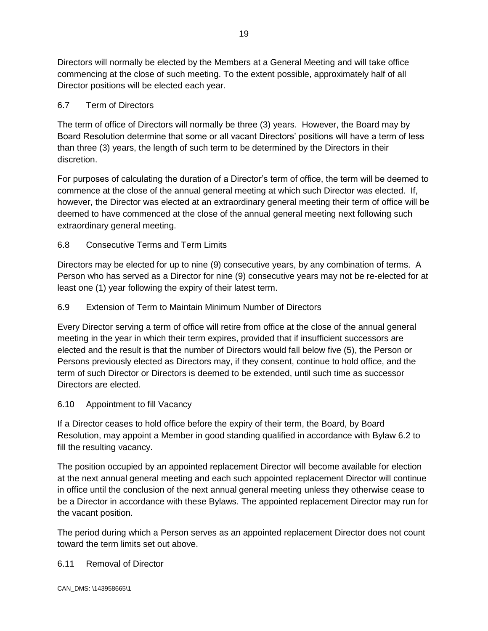Directors will normally be elected by the Members at a General Meeting and will take office commencing at the close of such meeting. To the extent possible, approximately half of all Director positions will be elected each year.

# 6.7 Term of Directors

The term of office of Directors will normally be three (3) years. However, the Board may by Board Resolution determine that some or all vacant Directors' positions will have a term of less than three (3) years, the length of such term to be determined by the Directors in their discretion.

For purposes of calculating the duration of a Director's term of office, the term will be deemed to commence at the close of the annual general meeting at which such Director was elected. If, however, the Director was elected at an extraordinary general meeting their term of office will be deemed to have commenced at the close of the annual general meeting next following such extraordinary general meeting.

# 6.8 Consecutive Terms and Term Limits

Directors may be elected for up to nine (9) consecutive years, by any combination of terms. A Person who has served as a Director for nine (9) consecutive years may not be re-elected for at least one (1) year following the expiry of their latest term.

# 6.9 Extension of Term to Maintain Minimum Number of Directors

Every Director serving a term of office will retire from office at the close of the annual general meeting in the year in which their term expires, provided that if insufficient successors are elected and the result is that the number of Directors would fall below five (5), the Person or Persons previously elected as Directors may, if they consent, continue to hold office, and the term of such Director or Directors is deemed to be extended, until such time as successor Directors are elected.

### 6.10 Appointment to fill Vacancy

If a Director ceases to hold office before the expiry of their term, the Board, by Board Resolution, may appoint a Member in good standing qualified in accordance with Bylaw 6.2 to fill the resulting vacancy.

The position occupied by an appointed replacement Director will become available for election at the next annual general meeting and each such appointed replacement Director will continue in office until the conclusion of the next annual general meeting unless they otherwise cease to be a Director in accordance with these Bylaws. The appointed replacement Director may run for the vacant position.

The period during which a Person serves as an appointed replacement Director does not count toward the term limits set out above.

### 6.11 Removal of Director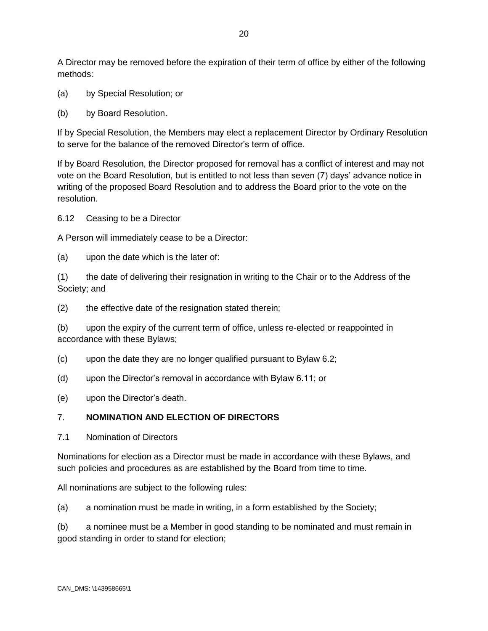A Director may be removed before the expiration of their term of office by either of the following methods:

- (a) by Special Resolution; or
- (b) by Board Resolution.

If by Special Resolution, the Members may elect a replacement Director by Ordinary Resolution to serve for the balance of the removed Director's term of office.

If by Board Resolution, the Director proposed for removal has a conflict of interest and may not vote on the Board Resolution, but is entitled to not less than seven (7) days' advance notice in writing of the proposed Board Resolution and to address the Board prior to the vote on the resolution.

6.12 Ceasing to be a Director

A Person will immediately cease to be a Director:

(a) upon the date which is the later of:

(1) the date of delivering their resignation in writing to the Chair or to the Address of the Society; and

(2) the effective date of the resignation stated therein;

(b) upon the expiry of the current term of office, unless re-elected or reappointed in accordance with these Bylaws;

(c) upon the date they are no longer qualified pursuant to Bylaw 6.2;

(d) upon the Director's removal in accordance with Bylaw 6.11; or

(e) upon the Director's death.

### 7. **NOMINATION AND ELECTION OF DIRECTORS**

7.1 Nomination of Directors

Nominations for election as a Director must be made in accordance with these Bylaws, and such policies and procedures as are established by the Board from time to time.

All nominations are subject to the following rules:

(a) a nomination must be made in writing, in a form established by the Society;

(b) a nominee must be a Member in good standing to be nominated and must remain in good standing in order to stand for election;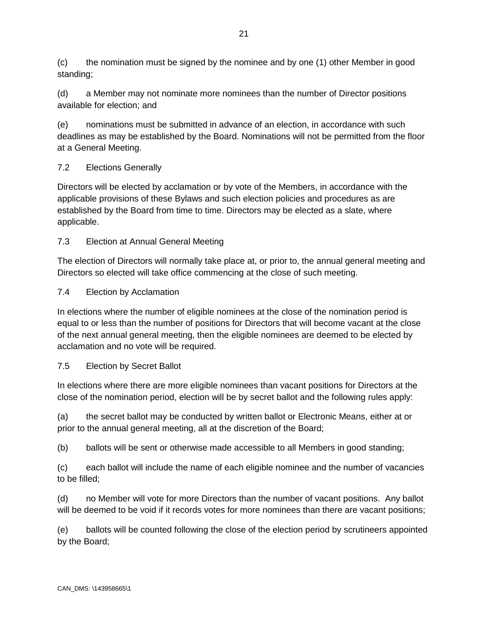(c) the nomination must be signed by the nominee and by one (1) other Member in good standing;

(d) a Member may not nominate more nominees than the number of Director positions available for election; and

(e) nominations must be submitted in advance of an election, in accordance with such deadlines as may be established by the Board. Nominations will not be permitted from the floor at a General Meeting.

# 7.2 Elections Generally

Directors will be elected by acclamation or by vote of the Members, in accordance with the applicable provisions of these Bylaws and such election policies and procedures as are established by the Board from time to time. Directors may be elected as a slate, where applicable.

7.3 Election at Annual General Meeting

The election of Directors will normally take place at, or prior to, the annual general meeting and Directors so elected will take office commencing at the close of such meeting.

### 7.4 Election by Acclamation

In elections where the number of eligible nominees at the close of the nomination period is equal to or less than the number of positions for Directors that will become vacant at the close of the next annual general meeting, then the eligible nominees are deemed to be elected by acclamation and no vote will be required.

### 7.5 Election by Secret Ballot

In elections where there are more eligible nominees than vacant positions for Directors at the close of the nomination period, election will be by secret ballot and the following rules apply:

(a) the secret ballot may be conducted by written ballot or Electronic Means, either at or prior to the annual general meeting, all at the discretion of the Board;

(b) ballots will be sent or otherwise made accessible to all Members in good standing;

(c) each ballot will include the name of each eligible nominee and the number of vacancies to be filled;

(d) no Member will vote for more Directors than the number of vacant positions. Any ballot will be deemed to be void if it records votes for more nominees than there are vacant positions;

(e) ballots will be counted following the close of the election period by scrutineers appointed by the Board;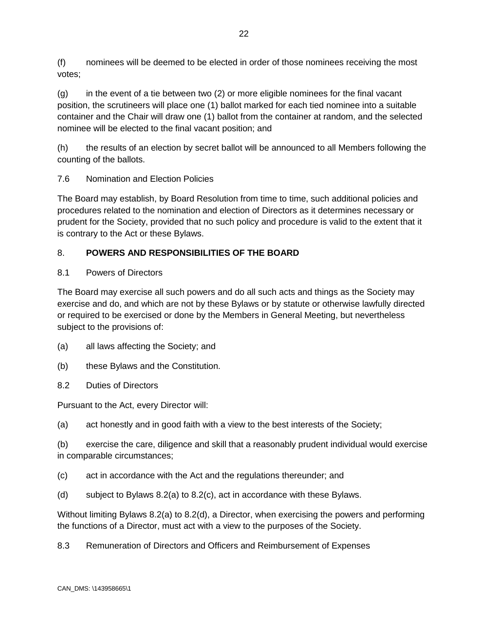(f) nominees will be deemed to be elected in order of those nominees receiving the most votes;

(g) in the event of a tie between two (2) or more eligible nominees for the final vacant position, the scrutineers will place one (1) ballot marked for each tied nominee into a suitable container and the Chair will draw one (1) ballot from the container at random, and the selected nominee will be elected to the final vacant position; and

(h) the results of an election by secret ballot will be announced to all Members following the counting of the ballots.

7.6 Nomination and Election Policies

The Board may establish, by Board Resolution from time to time, such additional policies and procedures related to the nomination and election of Directors as it determines necessary or prudent for the Society, provided that no such policy and procedure is valid to the extent that it is contrary to the Act or these Bylaws.

# 8. **POWERS AND RESPONSIBILITIES OF THE BOARD**

# 8.1 Powers of Directors

The Board may exercise all such powers and do all such acts and things as the Society may exercise and do, and which are not by these Bylaws or by statute or otherwise lawfully directed or required to be exercised or done by the Members in General Meeting, but nevertheless subject to the provisions of:

- (a) all laws affecting the Society; and
- (b) these Bylaws and the Constitution.
- 8.2 Duties of Directors

Pursuant to the Act, every Director will:

(a) act honestly and in good faith with a view to the best interests of the Society;

(b) exercise the care, diligence and skill that a reasonably prudent individual would exercise in comparable circumstances;

(c) act in accordance with the Act and the regulations thereunder; and

(d) subject to Bylaws 8.2(a) to 8.2(c), act in accordance with these Bylaws.

Without limiting Bylaws 8.2(a) to 8.2(d), a Director, when exercising the powers and performing the functions of a Director, must act with a view to the purposes of the Society.

8.3 Remuneration of Directors and Officers and Reimbursement of Expenses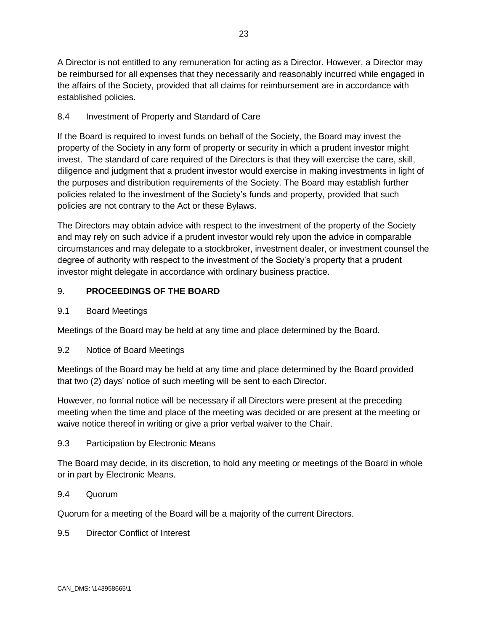A Director is not entitled to any remuneration for acting as a Director. However, a Director may be reimbursed for all expenses that they necessarily and reasonably incurred while engaged in the affairs of the Society, provided that all claims for reimbursement are in accordance with

# 8.4 Investment of Property and Standard of Care

If the Board is required to invest funds on behalf of the Society, the Board may invest the property of the Society in any form of property or security in which a prudent investor might invest. The standard of care required of the Directors is that they will exercise the care, skill, diligence and judgment that a prudent investor would exercise in making investments in light of the purposes and distribution requirements of the Society. The Board may establish further policies related to the investment of the Society's funds and property, provided that such policies are not contrary to the Act or these Bylaws.

The Directors may obtain advice with respect to the investment of the property of the Society and may rely on such advice if a prudent investor would rely upon the advice in comparable circumstances and may delegate to a stockbroker, investment dealer, or investment counsel the degree of authority with respect to the investment of the Society's property that a prudent investor might delegate in accordance with ordinary business practice.

### 9. **PROCEEDINGS OF THE BOARD**

### 9.1 Board Meetings

established policies.

Meetings of the Board may be held at any time and place determined by the Board.

#### 9.2 Notice of Board Meetings

Meetings of the Board may be held at any time and place determined by the Board provided that two (2) days' notice of such meeting will be sent to each Director.

However, no formal notice will be necessary if all Directors were present at the preceding meeting when the time and place of the meeting was decided or are present at the meeting or waive notice thereof in writing or give a prior verbal waiver to the Chair.

#### 9.3 Participation by Electronic Means

The Board may decide, in its discretion, to hold any meeting or meetings of the Board in whole or in part by Electronic Means.

#### 9.4 Quorum

Quorum for a meeting of the Board will be a majority of the current Directors.

#### 9.5 Director Conflict of Interest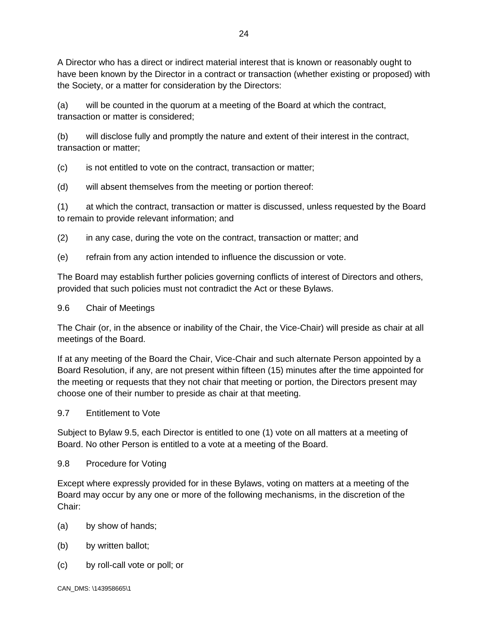A Director who has a direct or indirect material interest that is known or reasonably ought to have been known by the Director in a contract or transaction (whether existing or proposed) with the Society, or a matter for consideration by the Directors:

(a) will be counted in the quorum at a meeting of the Board at which the contract, transaction or matter is considered;

(b) will disclose fully and promptly the nature and extent of their interest in the contract, transaction or matter;

(c) is not entitled to vote on the contract, transaction or matter;

(d) will absent themselves from the meeting or portion thereof:

(1) at which the contract, transaction or matter is discussed, unless requested by the Board to remain to provide relevant information; and

(2) in any case, during the vote on the contract, transaction or matter; and

(e) refrain from any action intended to influence the discussion or vote.

The Board may establish further policies governing conflicts of interest of Directors and others, provided that such policies must not contradict the Act or these Bylaws.

9.6 Chair of Meetings

The Chair (or, in the absence or inability of the Chair, the Vice-Chair) will preside as chair at all meetings of the Board.

If at any meeting of the Board the Chair, Vice-Chair and such alternate Person appointed by a Board Resolution, if any, are not present within fifteen (15) minutes after the time appointed for the meeting or requests that they not chair that meeting or portion, the Directors present may choose one of their number to preside as chair at that meeting.

9.7 Entitlement to Vote

Subject to Bylaw 9.5, each Director is entitled to one (1) vote on all matters at a meeting of Board. No other Person is entitled to a vote at a meeting of the Board.

9.8 Procedure for Voting

Except where expressly provided for in these Bylaws, voting on matters at a meeting of the Board may occur by any one or more of the following mechanisms, in the discretion of the Chair:

- (a) by show of hands;
- (b) by written ballot;
- (c) by roll-call vote or poll; or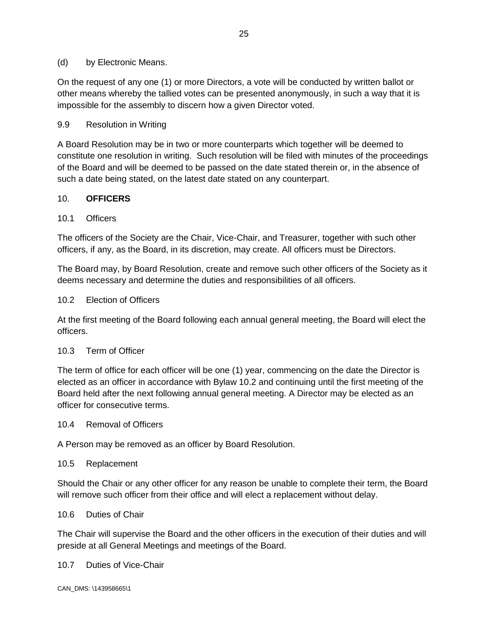#### (d) by Electronic Means.

On the request of any one (1) or more Directors, a vote will be conducted by written ballot or other means whereby the tallied votes can be presented anonymously, in such a way that it is impossible for the assembly to discern how a given Director voted.

### 9.9 Resolution in Writing

A Board Resolution may be in two or more counterparts which together will be deemed to constitute one resolution in writing. Such resolution will be filed with minutes of the proceedings of the Board and will be deemed to be passed on the date stated therein or, in the absence of such a date being stated, on the latest date stated on any counterpart.

#### 10. **OFFICERS**

#### 10.1 Officers

The officers of the Society are the Chair, Vice-Chair, and Treasurer, together with such other officers, if any, as the Board, in its discretion, may create. All officers must be Directors.

The Board may, by Board Resolution, create and remove such other officers of the Society as it deems necessary and determine the duties and responsibilities of all officers.

#### 10.2 Election of Officers

At the first meeting of the Board following each annual general meeting, the Board will elect the officers.

#### 10.3 Term of Officer

The term of office for each officer will be one (1) year, commencing on the date the Director is elected as an officer in accordance with Bylaw 10.2 and continuing until the first meeting of the Board held after the next following annual general meeting. A Director may be elected as an officer for consecutive terms.

10.4 Removal of Officers

A Person may be removed as an officer by Board Resolution.

10.5 Replacement

Should the Chair or any other officer for any reason be unable to complete their term, the Board will remove such officer from their office and will elect a replacement without delay.

10.6 Duties of Chair

The Chair will supervise the Board and the other officers in the execution of their duties and will preside at all General Meetings and meetings of the Board.

10.7 Duties of Vice-Chair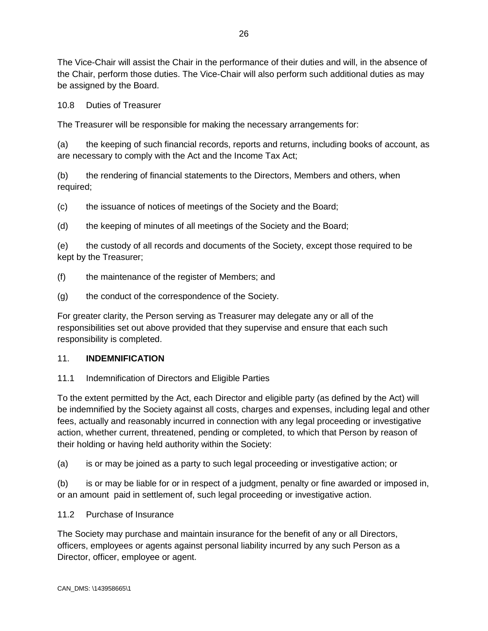The Vice-Chair will assist the Chair in the performance of their duties and will, in the absence of the Chair, perform those duties. The Vice-Chair will also perform such additional duties as may be assigned by the Board.

10.8 Duties of Treasurer

The Treasurer will be responsible for making the necessary arrangements for:

(a) the keeping of such financial records, reports and returns, including books of account, as are necessary to comply with the Act and the Income Tax Act;

(b) the rendering of financial statements to the Directors, Members and others, when required;

(c) the issuance of notices of meetings of the Society and the Board;

(d) the keeping of minutes of all meetings of the Society and the Board;

(e) the custody of all records and documents of the Society, except those required to be kept by the Treasurer;

(f) the maintenance of the register of Members; and

(g) the conduct of the correspondence of the Society.

For greater clarity, the Person serving as Treasurer may delegate any or all of the responsibilities set out above provided that they supervise and ensure that each such responsibility is completed.

#### 11. **INDEMNIFICATION**

#### 11.1 Indemnification of Directors and Eligible Parties

To the extent permitted by the Act, each Director and eligible party (as defined by the Act) will be indemnified by the Society against all costs, charges and expenses, including legal and other fees, actually and reasonably incurred in connection with any legal proceeding or investigative action, whether current, threatened, pending or completed, to which that Person by reason of their holding or having held authority within the Society:

(a) is or may be joined as a party to such legal proceeding or investigative action; or

(b) is or may be liable for or in respect of a judgment, penalty or fine awarded or imposed in, or an amount paid in settlement of, such legal proceeding or investigative action.

#### 11.2 Purchase of Insurance

The Society may purchase and maintain insurance for the benefit of any or all Directors, officers, employees or agents against personal liability incurred by any such Person as a Director, officer, employee or agent.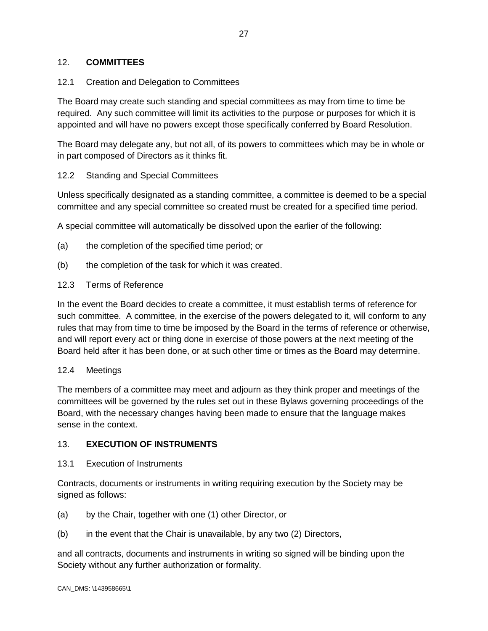### 12. **COMMITTEES**

### 12.1 Creation and Delegation to Committees

The Board may create such standing and special committees as may from time to time be required. Any such committee will limit its activities to the purpose or purposes for which it is appointed and will have no powers except those specifically conferred by Board Resolution.

The Board may delegate any, but not all, of its powers to committees which may be in whole or in part composed of Directors as it thinks fit.

### 12.2 Standing and Special Committees

Unless specifically designated as a standing committee, a committee is deemed to be a special committee and any special committee so created must be created for a specified time period.

A special committee will automatically be dissolved upon the earlier of the following:

- (a) the completion of the specified time period; or
- (b) the completion of the task for which it was created.
- 12.3 Terms of Reference

In the event the Board decides to create a committee, it must establish terms of reference for such committee. A committee, in the exercise of the powers delegated to it, will conform to any rules that may from time to time be imposed by the Board in the terms of reference or otherwise, and will report every act or thing done in exercise of those powers at the next meeting of the Board held after it has been done, or at such other time or times as the Board may determine.

#### 12.4 Meetings

The members of a committee may meet and adjourn as they think proper and meetings of the committees will be governed by the rules set out in these Bylaws governing proceedings of the Board, with the necessary changes having been made to ensure that the language makes sense in the context.

### 13. **EXECUTION OF INSTRUMENTS**

13.1 Execution of Instruments

Contracts, documents or instruments in writing requiring execution by the Society may be signed as follows:

- (a) by the Chair, together with one (1) other Director, or
- (b) in the event that the Chair is unavailable, by any two (2) Directors,

and all contracts, documents and instruments in writing so signed will be binding upon the Society without any further authorization or formality.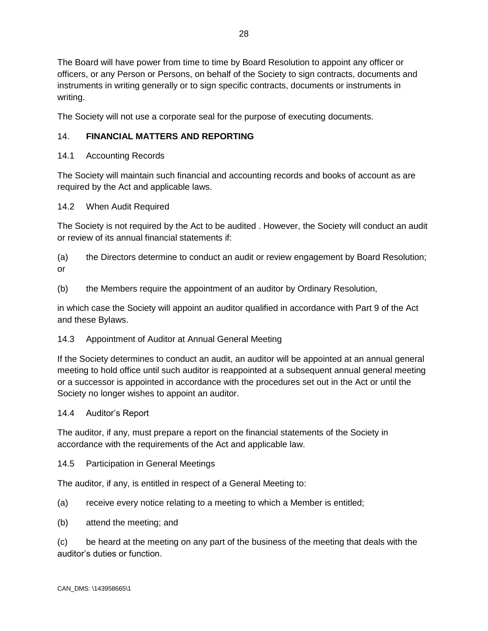The Board will have power from time to time by Board Resolution to appoint any officer or officers, or any Person or Persons, on behalf of the Society to sign contracts, documents and instruments in writing generally or to sign specific contracts, documents or instruments in writing.

The Society will not use a corporate seal for the purpose of executing documents.

# 14. **FINANCIAL MATTERS AND REPORTING**

# 14.1 Accounting Records

The Society will maintain such financial and accounting records and books of account as are required by the Act and applicable laws.

### 14.2 When Audit Required

The Society is not required by the Act to be audited . However, the Society will conduct an audit or review of its annual financial statements if:

(a) the Directors determine to conduct an audit or review engagement by Board Resolution; or

(b) the Members require the appointment of an auditor by Ordinary Resolution,

in which case the Society will appoint an auditor qualified in accordance with Part 9 of the Act and these Bylaws.

### 14.3 Appointment of Auditor at Annual General Meeting

If the Society determines to conduct an audit, an auditor will be appointed at an annual general meeting to hold office until such auditor is reappointed at a subsequent annual general meeting or a successor is appointed in accordance with the procedures set out in the Act or until the Society no longer wishes to appoint an auditor.

### 14.4 Auditor's Report

The auditor, if any, must prepare a report on the financial statements of the Society in accordance with the requirements of the Act and applicable law.

14.5 Participation in General Meetings

The auditor, if any, is entitled in respect of a General Meeting to:

- (a) receive every notice relating to a meeting to which a Member is entitled;
- (b) attend the meeting; and

(c) be heard at the meeting on any part of the business of the meeting that deals with the auditor's duties or function.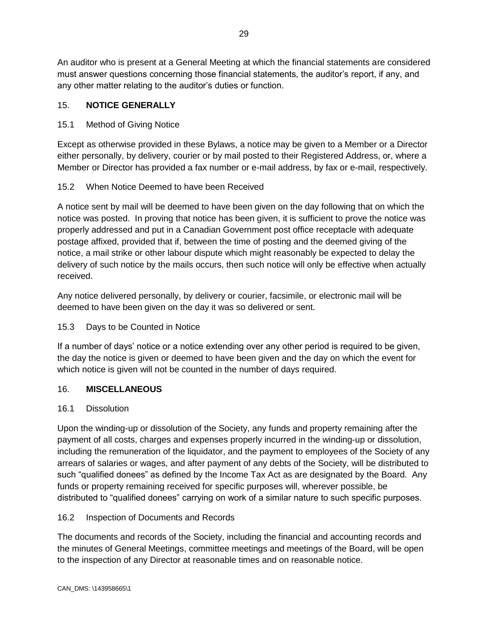An auditor who is present at a General Meeting at which the financial statements are considered must answer questions concerning those financial statements, the auditor's report, if any, and any other matter relating to the auditor's duties or function.

# 15. **NOTICE GENERALLY**

# 15.1 Method of Giving Notice

Except as otherwise provided in these Bylaws, a notice may be given to a Member or a Director either personally, by delivery, courier or by mail posted to their Registered Address, or, where a Member or Director has provided a fax number or e-mail address, by fax or e-mail, respectively.

# 15.2 When Notice Deemed to have been Received

A notice sent by mail will be deemed to have been given on the day following that on which the notice was posted. In proving that notice has been given, it is sufficient to prove the notice was properly addressed and put in a Canadian Government post office receptacle with adequate postage affixed, provided that if, between the time of posting and the deemed giving of the notice, a mail strike or other labour dispute which might reasonably be expected to delay the delivery of such notice by the mails occurs, then such notice will only be effective when actually received.

Any notice delivered personally, by delivery or courier, facsimile, or electronic mail will be deemed to have been given on the day it was so delivered or sent.

# 15.3 Days to be Counted in Notice

If a number of days' notice or a notice extending over any other period is required to be given, the day the notice is given or deemed to have been given and the day on which the event for which notice is given will not be counted in the number of days required.

# 16. **MISCELLANEOUS**

### 16.1 Dissolution

Upon the winding-up or dissolution of the Society, any funds and property remaining after the payment of all costs, charges and expenses properly incurred in the winding-up or dissolution, including the remuneration of the liquidator, and the payment to employees of the Society of any arrears of salaries or wages, and after payment of any debts of the Society, will be distributed to such "qualified donees" as defined by the Income Tax Act as are designated by the Board. Any funds or property remaining received for specific purposes will, wherever possible, be distributed to "qualified donees" carrying on work of a similar nature to such specific purposes.

# 16.2 Inspection of Documents and Records

The documents and records of the Society, including the financial and accounting records and the minutes of General Meetings, committee meetings and meetings of the Board, will be open to the inspection of any Director at reasonable times and on reasonable notice.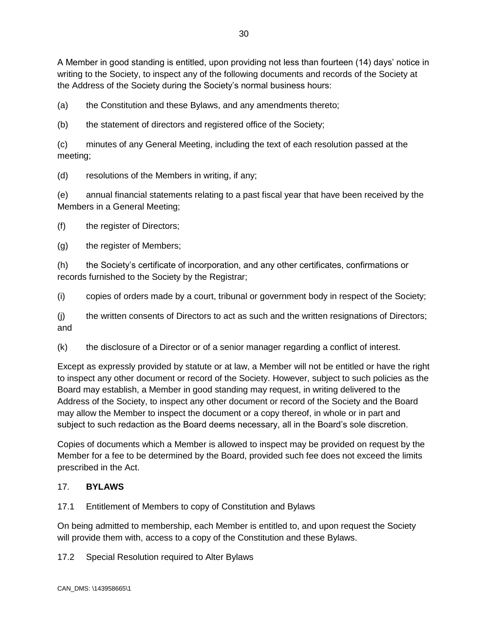A Member in good standing is entitled, upon providing not less than fourteen (14) days' notice in writing to the Society, to inspect any of the following documents and records of the Society at the Address of the Society during the Society's normal business hours:

(a) the Constitution and these Bylaws, and any amendments thereto;

(b) the statement of directors and registered office of the Society;

(c) minutes of any General Meeting, including the text of each resolution passed at the meeting;

(d) resolutions of the Members in writing, if any;

(e) annual financial statements relating to a past fiscal year that have been received by the Members in a General Meeting;

(f) the register of Directors;

(g) the register of Members;

(h) the Society's certificate of incorporation, and any other certificates, confirmations or records furnished to the Society by the Registrar;

(i) copies of orders made by a court, tribunal or government body in respect of the Society;

(j) the written consents of Directors to act as such and the written resignations of Directors; and

(k) the disclosure of a Director or of a senior manager regarding a conflict of interest.

Except as expressly provided by statute or at law, a Member will not be entitled or have the right to inspect any other document or record of the Society. However, subject to such policies as the Board may establish, a Member in good standing may request, in writing delivered to the Address of the Society, to inspect any other document or record of the Society and the Board may allow the Member to inspect the document or a copy thereof, in whole or in part and subject to such redaction as the Board deems necessary, all in the Board's sole discretion.

Copies of documents which a Member is allowed to inspect may be provided on request by the Member for a fee to be determined by the Board, provided such fee does not exceed the limits prescribed in the Act.

#### 17. **BYLAWS**

17.1 Entitlement of Members to copy of Constitution and Bylaws

On being admitted to membership, each Member is entitled to, and upon request the Society will provide them with, access to a copy of the Constitution and these Bylaws.

17.2 Special Resolution required to Alter Bylaws